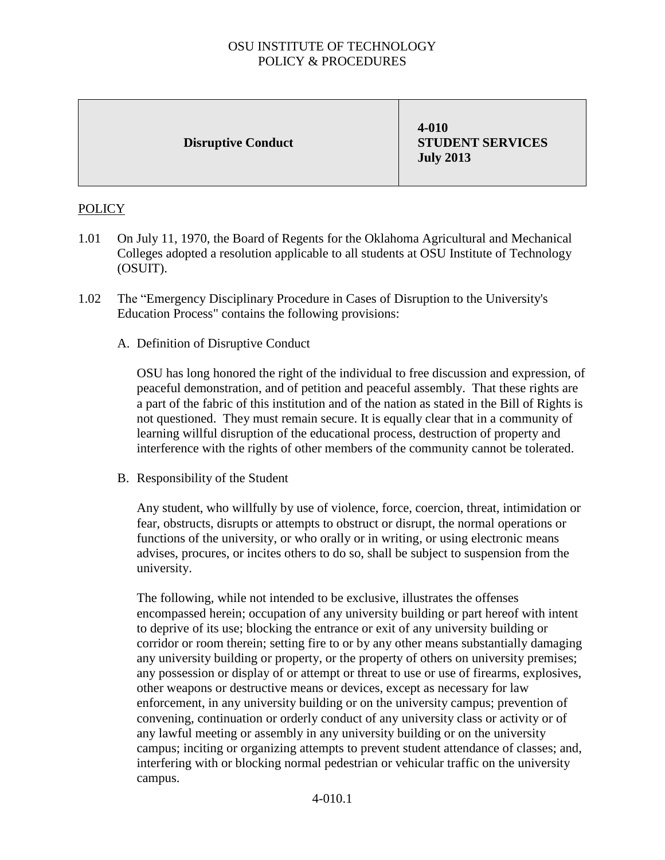## OSU INSTITUTE OF TECHNOLOGY POLICY & PROCEDURES

## **Disruptive Conduct**

**4-010 STUDENT SERVICES July 2013**

## POLICY

- 1.01 On July 11, 1970, the Board of Regents for the Oklahoma Agricultural and Mechanical Colleges adopted a resolution applicable to all students at OSU Institute of Technology (OSUIT).
- 1.02 The "Emergency Disciplinary Procedure in Cases of Disruption to the University's Education Process" contains the following provisions:
	- A. Definition of Disruptive Conduct

OSU has long honored the right of the individual to free discussion and expression, of peaceful demonstration, and of petition and peaceful assembly. That these rights are a part of the fabric of this institution and of the nation as stated in the Bill of Rights is not questioned. They must remain secure. It is equally clear that in a community of learning willful disruption of the educational process, destruction of property and interference with the rights of other members of the community cannot be tolerated.

B. Responsibility of the Student

Any student, who willfully by use of violence, force, coercion, threat, intimidation or fear, obstructs, disrupts or attempts to obstruct or disrupt, the normal operations or functions of the university, or who orally or in writing, or using electronic means advises, procures, or incites others to do so, shall be subject to suspension from the university.

The following, while not intended to be exclusive, illustrates the offenses encompassed herein; occupation of any university building or part hereof with intent to deprive of its use; blocking the entrance or exit of any university building or corridor or room therein; setting fire to or by any other means substantially damaging any university building or property, or the property of others on university premises; any possession or display of or attempt or threat to use or use of firearms, explosives, other weapons or destructive means or devices, except as necessary for law enforcement, in any university building or on the university campus; prevention of convening, continuation or orderly conduct of any university class or activity or of any lawful meeting or assembly in any university building or on the university campus; inciting or organizing attempts to prevent student attendance of classes; and, interfering with or blocking normal pedestrian or vehicular traffic on the university campus.